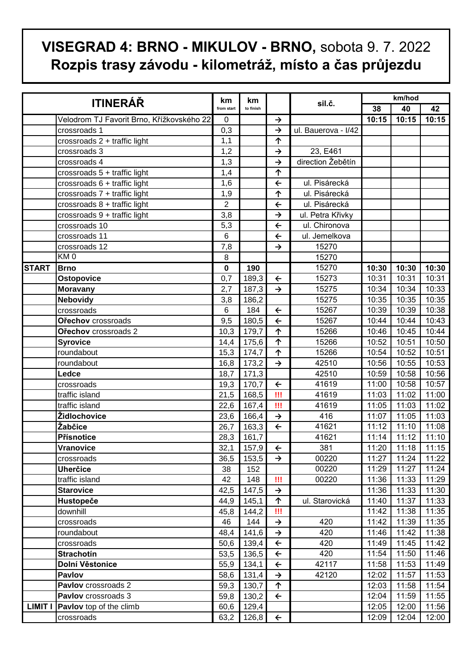## **VISEGRAD 4: BRNO - MIKULOV - BRNO,** sobota 9. 7. 2022 **Rozpis trasy závodu - kilometráž, místo a čas průjezdu**

| <b>ITINERÁŘ</b> |                                           | km<br>from start | km<br>to finish |                          | sil.č.              | km/hod |               |       |
|-----------------|-------------------------------------------|------------------|-----------------|--------------------------|---------------------|--------|---------------|-------|
|                 |                                           |                  |                 |                          |                     | 38     | 40            | 42    |
|                 | Velodrom TJ Favorit Brno, Křížkovského 22 | 0                |                 | $\rightarrow$            |                     | 10:15  | 10:15         | 10:15 |
|                 | crossroads 1                              | 0,3              |                 | $\rightarrow$            | ul. Bauerova - I/42 |        |               |       |
|                 | crossroads 2 + traffic light              | 1,1              |                 | ↑                        |                     |        |               |       |
|                 | crossroads 3                              | 1,2              |                 | $\rightarrow$            | 23, E461            |        |               |       |
|                 | crossroads 4                              | 1,3              |                 | $\rightarrow$            | direction Žebětín   |        |               |       |
|                 | crossroads 5 + traffic light              | 1,4              |                 | 个                        |                     |        |               |       |
|                 | crossroads 6 + traffic light              | 1,6              |                 | $\leftarrow$             | ul. Pisárecká       |        |               |       |
|                 | crossroads 7 + traffic light              | 1,9              |                 | $\overline{\phantom{0}}$ | ul. Pisárecká       |        |               |       |
|                 | crossroads 8 + traffic light              | $\overline{2}$   |                 | $\leftarrow$             | ul. Pisárecká       |        |               |       |
|                 | crossroads 9 + traffic light              | 3,8              |                 | $\rightarrow$            | ul. Petra Křivky    |        |               |       |
|                 | crossroads 10                             | 5,3              |                 | $\leftarrow$             | ul. Chironova       |        |               |       |
|                 | crossroads 11                             | $6\phantom{1}6$  |                 | $\leftarrow$             | ul. Jemelkova       |        |               |       |
|                 | crossroads 12                             | 7,8              |                 | $\rightarrow$            | 15270               |        |               |       |
|                 | KM <sub>0</sub>                           | 8                |                 |                          | 15270               |        |               |       |
| <b>START</b>    | <b>Brno</b>                               | 0                | 190             |                          | 15270               | 10:30  | 10:30         | 10:30 |
|                 | Ostopovice                                | 0,7              | 189,3           | $\leftarrow$             | 15273               | 10:31  | 10:31         | 10:31 |
|                 | <b>Moravany</b>                           | $\overline{2,7}$ | 187,3           | $\overline{\downarrow}$  | 15275               | 10:34  | 10:34         | 10:33 |
|                 | <b>Nebovidy</b>                           | 3,8              | 186,2           |                          | 15275               | 10:35  | 10:35         | 10:35 |
|                 | crossroads                                | 6                | 184             | $\leftarrow$             | 15267               | 10:39  | 10:39         | 10:38 |
|                 | Ořechov crossroads                        | 9,5              | 180,5           | $\leftarrow$             | 15267               | 10:44  | 10:44         | 10:43 |
|                 | Ořechov crossroads 2                      | 10,3             | 179,7           | $\overline{\Uparrow}$    | 15266               | 10:46  | 10:45         | 10:44 |
|                 | <b>Syrovice</b>                           | 14,4             | 175,6           | ↑                        | 15266               | 10:52  | 10:51         | 10:50 |
|                 | roundabout                                | 15,3             | 174,7           | ↑                        | 15266               | 10:54  | 10:52         | 10:51 |
|                 | roundabout                                | 16,8             | 173,2           | $\rightarrow$            | 42510               | 10:56  | 10:55         | 10:53 |
|                 | Ledce                                     | 18,7             | 171,3           |                          | 42510               | 10:59  | 10:58         | 10:56 |
|                 | crossroads                                | 19,3             | 170,7           | $\leftarrow$             | 41619               | 11:00  | 10:58         | 10:57 |
|                 | traffic island                            | 21,5             | 168,5           | Ш                        | 41619               | 11:03  | 11:02         | 11:00 |
|                 | traffic island                            | 22,6             | 167,4           | Ш                        | 41619               | 11:05  | 11:03         | 11:02 |
|                 | Židlochovice                              | 23,6             | 166,4           | $\rightarrow$            | 416                 | 11:07  | 11:05         | 11:03 |
|                 | Žabčice                                   | 26,7             | 163,3           | $\leftarrow$             | 41621               | 11:12  | 11:10         | 11:08 |
|                 | Přísnotice                                | 28,3             | 161,7           |                          | 41621               | 11:14  | 11:12         | 11:10 |
|                 | Vranovice                                 | 32,1             | 157,9           | $\leftarrow$             | 381                 | 11:20  | $11:18$ 11:15 |       |
|                 | crossroads                                | 36,5             | 153,5           | $\rightarrow$            | 00220               | 11:27  | 11:24         | 11:22 |
|                 | <b>Uherčice</b>                           | 38               | 152             |                          | 00220               | 11:29  | 11:27         | 11:24 |
|                 | traffic island                            | 42               | 148             | Ш                        | 00220               | 11:36  | 11:33         | 11:29 |
|                 | <b>Starovice</b>                          | 42,5             | 147,5           | $\rightarrow$            |                     | 11:36  | 11:33         | 11:30 |
|                 | Hustopeče                                 | 44,9             | 145,1           | 个                        | ul. Starovická      | 11:40  | 11:37         | 11:33 |
|                 | downhill                                  | 45,8             | 144,2           | Ш                        |                     | 11:42  | 11:38         | 11:35 |
|                 | crossroads                                | 46               | 144             | $\rightarrow$            | 420                 | 11:42  | 11:39         | 11:35 |
|                 | roundabout                                | 48,4             | 141,6           | $\rightarrow$            | 420                 | 11:46  | 11:42         | 11:38 |
|                 | crossroads                                | 50,6             | 139,4           | $\leftarrow$             | 420                 | 11:49  | 11:45         | 11:42 |
|                 | <b>Strachotin</b>                         | 53,5             | 136,5           | $\leftarrow$             | 420                 | 11:54  | 11:50         | 11:46 |
|                 | Dolní Věstonice                           | 55,9             | 134,1           | $\leftarrow$             | 42117               | 11:58  | 11:53         | 11:49 |
|                 | <b>Pavlov</b>                             | 58,6             | 131,4           | $\rightarrow$            | 42120               | 12:02  | 11:57         | 11:53 |
|                 | Pavlov crossroads 2                       | 59,3             | 130,7           | 个                        |                     | 12:03  | 11:58         | 11:54 |
|                 | Pavlov crossroads 3                       | 59,8             | 130,2           | $\leftarrow$             |                     | 12:04  | 11:59         | 11:55 |
| <b>LIMIT I</b>  | Pavlov top of the climb                   | 60,6             | 129,4           |                          |                     | 12:05  | 12:00         | 11:56 |
|                 | crossroads                                | 63,2             | 126,8           | $\leftarrow$             |                     | 12:09  | 12:04         | 12:00 |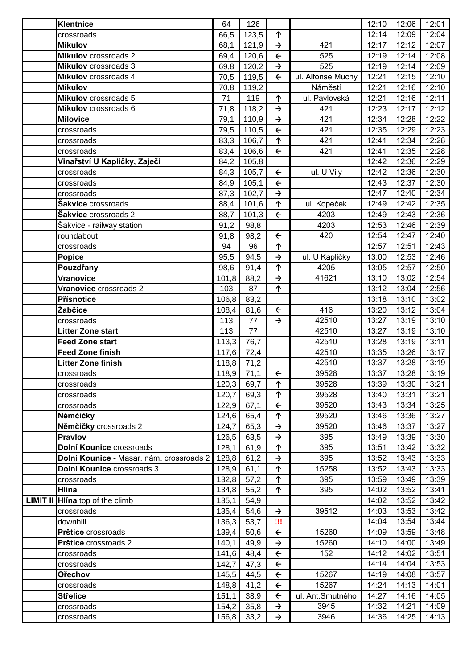|                 | <b>Klentnice</b>                         | 64    | 126                       |               |                   | 12:10 | 12:06 | 12:01 |
|-----------------|------------------------------------------|-------|---------------------------|---------------|-------------------|-------|-------|-------|
|                 | crossroads                               | 66,5  | 123,5                     | 个             |                   | 12:14 | 12:09 | 12:04 |
|                 | <b>Mikulov</b>                           | 68,1  | 121,9                     | $\rightarrow$ | 421               | 12:17 | 12:12 | 12:07 |
|                 | <b>Mikulov</b> crossroads 2              | 69,4  | 120,6                     | $\leftarrow$  | 525               | 12:19 | 12:14 | 12:08 |
|                 | <b>Mikulov</b> crossroads 3              | 69,8  | 120,2                     | $\rightarrow$ | 525               | 12:19 | 12:14 | 12:09 |
|                 | Mikulov crossroads 4                     | 70,5  | 119,5                     | $\leftarrow$  | ul. Alfonse Muchy | 12:21 | 12:15 | 12:10 |
|                 | <b>Mikulov</b>                           | 70,8  | 119,2                     |               | Náměstí           | 12:21 | 12:16 | 12:10 |
|                 | Mikulov crossroads 5                     | 71    | 119                       | 个             | ul. Pavlovská     | 12:21 | 12:16 | 12:11 |
|                 | Mikulov crossroads 6                     | 71,8  | 118,2                     | $\rightarrow$ | 421               | 12:23 | 12:17 | 12:12 |
|                 | <b>Milovice</b>                          | 79,1  | 110,9                     | $\rightarrow$ | 421               | 12:34 | 12:28 | 12:22 |
|                 | crossroads                               | 79,5  | 110,5                     | $\leftarrow$  | 421               | 12:35 | 12:29 | 12:23 |
|                 | crossroads                               | 83,3  | 106,7                     | 个             | 421               | 12:41 | 12:34 | 12:28 |
|                 | crossroads                               | 83,4  | 106,6                     | $\leftarrow$  | 421               | 12:41 | 12:35 | 12:28 |
|                 | Vinařství U Kapličky, Zaječí             | 84,2  | 105,8                     |               |                   | 12:42 | 12:36 | 12:29 |
|                 | crossroads                               | 84,3  | 105,7                     | $\leftarrow$  | ul. U Vily        | 12:42 | 12:36 | 12:30 |
|                 | crossroads                               | 84,9  | 105,1                     | $\leftarrow$  |                   | 12:43 | 12:37 | 12:30 |
|                 | crossroads                               | 87,3  | 102,7                     | $\rightarrow$ |                   | 12:47 | 12:40 | 12:34 |
|                 | <b>Šakvice</b> crossroads                | 88,4  | 101,6                     | ↑             | ul. Kopeček       | 12:49 | 12:42 | 12:35 |
|                 | Šakvice crossroads 2                     | 88,7  | 101,3                     | $\leftarrow$  | 4203              | 12:49 | 12:43 | 12:36 |
|                 | Šakvice - railway station                | 91,2  | 98,8                      |               | 4203              | 12:53 | 12:46 | 12:39 |
|                 | roundabout                               | 91,8  | 98,2                      | $\leftarrow$  | 420               | 12:54 | 12:47 | 12:40 |
|                 | crossroads                               | 94    | 96                        | ↑             |                   | 12:57 | 12:51 | 12:43 |
|                 | <b>Popice</b>                            | 95,5  | 94,5                      | $\rightarrow$ | ul. U Kapličky    | 13:00 | 12:53 | 12:46 |
|                 | Pouzdřany                                | 98,6  | 91,4                      | 个             | 4205              | 13:05 | 12:57 | 12:50 |
|                 | <b>Vranovice</b>                         | 101,8 | 88,2                      | $\rightarrow$ | 41621             | 13:10 | 13:02 | 12:54 |
|                 | Vranovice crossroads 2                   | 103   | 87                        | 个             |                   | 13:12 | 13:04 | 12:56 |
|                 | Přísnotice                               | 106,8 | 83,2                      |               |                   | 13:18 | 13:10 | 13:02 |
|                 | Žabčice                                  | 108,4 | 81,6                      | $\leftarrow$  | 416               | 13:20 | 13:12 | 13:04 |
|                 | crossroads                               | 113   | 77                        | $\rightarrow$ | 42510             | 13:27 | 13:19 | 13:10 |
|                 | <b>Litter Zone start</b>                 | 113   | 77                        |               | 42510             | 13:27 | 13:19 | 13:10 |
|                 | <b>Feed Zone start</b>                   | 113,3 | 76,7                      |               | 42510             | 13:28 | 13:19 | 13:11 |
|                 | <b>Feed Zone finish</b>                  | 117,6 | 72,4                      |               | 42510             | 13:35 | 13:26 | 13:17 |
|                 | <b>Litter Zone finish</b>                | 118,8 | 71,2                      |               | 42510             | 13:37 | 13:28 | 13:19 |
|                 | crossroads                               |       | $118,9$ $\overline{71,1}$ | $\leftarrow$  | 39528             | 13:37 | 13:28 | 13:19 |
|                 | crossroads                               | 120,3 | 69,7                      | 个             | 39528             | 13:39 | 13:30 | 13:21 |
|                 | crossroads                               | 120,7 | 69,3                      | 个             | 39528             | 13:40 | 13:31 | 13:21 |
|                 | crossroads                               | 122,9 | 67,1                      | $\leftarrow$  | 39520             | 13:43 | 13:34 | 13:25 |
|                 | Němčičky                                 | 124,6 | 65,4                      | 个             | 39520             | 13:46 | 13:36 | 13:27 |
|                 | Němčičky crossroads 2                    | 124,7 | 65,3                      | $\rightarrow$ | 39520             | 13:46 | 13:37 | 13:27 |
|                 | <b>Pravlov</b>                           | 126,5 | 63,5                      | $\rightarrow$ | 395               | 13:49 | 13:39 | 13:30 |
|                 | Dolní Kounice crossroads                 | 128,1 | 61,9                      | 个             | 395               | 13:51 | 13:42 | 13:32 |
|                 | Dolní Kounice - Masar. nám. crossroads 2 | 128,8 | 61,2                      | →             | 395               | 13:52 | 13:43 | 13:33 |
|                 | Dolní Kounice crossroads 3               | 128,9 | 61,1                      | 个             | 15258             | 13:52 | 13:43 | 13:33 |
|                 | crossroads                               | 132,8 | 57,2                      | 个             | 395               | 13:59 | 13:49 | 13:39 |
|                 | <b>Hlína</b>                             | 134,8 | 55,2                      | 个             | 395               | 14:02 | 13:52 | 13:41 |
| <b>LIMIT II</b> | Hina top of the climb                    | 135,1 | 54,9                      |               |                   | 14:02 | 13:52 | 13:42 |
|                 | crossroads                               | 135,4 | 54,6                      | $\rightarrow$ | 39512             | 14:03 | 13:53 | 13:42 |
|                 | downhill                                 | 136,3 | 53,7                      | Ш             |                   | 14:04 | 13:54 | 13:44 |
|                 | Prštice crossroads                       | 139,4 | 50,6                      | $\leftarrow$  | 15260             | 14:09 | 13:59 | 13:48 |
|                 | Prštice crossroads 2                     | 140,1 | 49,9                      | $\rightarrow$ | 15260             | 14:10 | 14:00 | 13:49 |
|                 | crossroads                               | 141,6 | 48,4                      | $\leftarrow$  | 152               | 14:12 | 14:02 | 13:51 |
|                 | crossroads                               | 142,7 | 47,3                      | $\leftarrow$  |                   | 14:14 | 14:04 | 13:53 |
|                 | <b>Ořechov</b>                           | 145,5 | 44,5                      | $\leftarrow$  | 15267             | 14:19 | 14:08 | 13:57 |
|                 | crossroads                               | 148,8 | 41,2                      | $\leftarrow$  | 15267             | 14:24 | 14:13 | 14:01 |
|                 | <b>Střelice</b>                          | 151,1 | 38,9                      | $\leftarrow$  | ul. Ant.Smutného  | 14:27 | 14:16 | 14:05 |
|                 | crossroads                               | 154,2 | 35,8                      | $\rightarrow$ | 3945              | 14:32 | 14:21 | 14:09 |
|                 | crossroads                               | 156,8 | 33,2                      | $\rightarrow$ | 3946              | 14:36 | 14:25 | 14:13 |